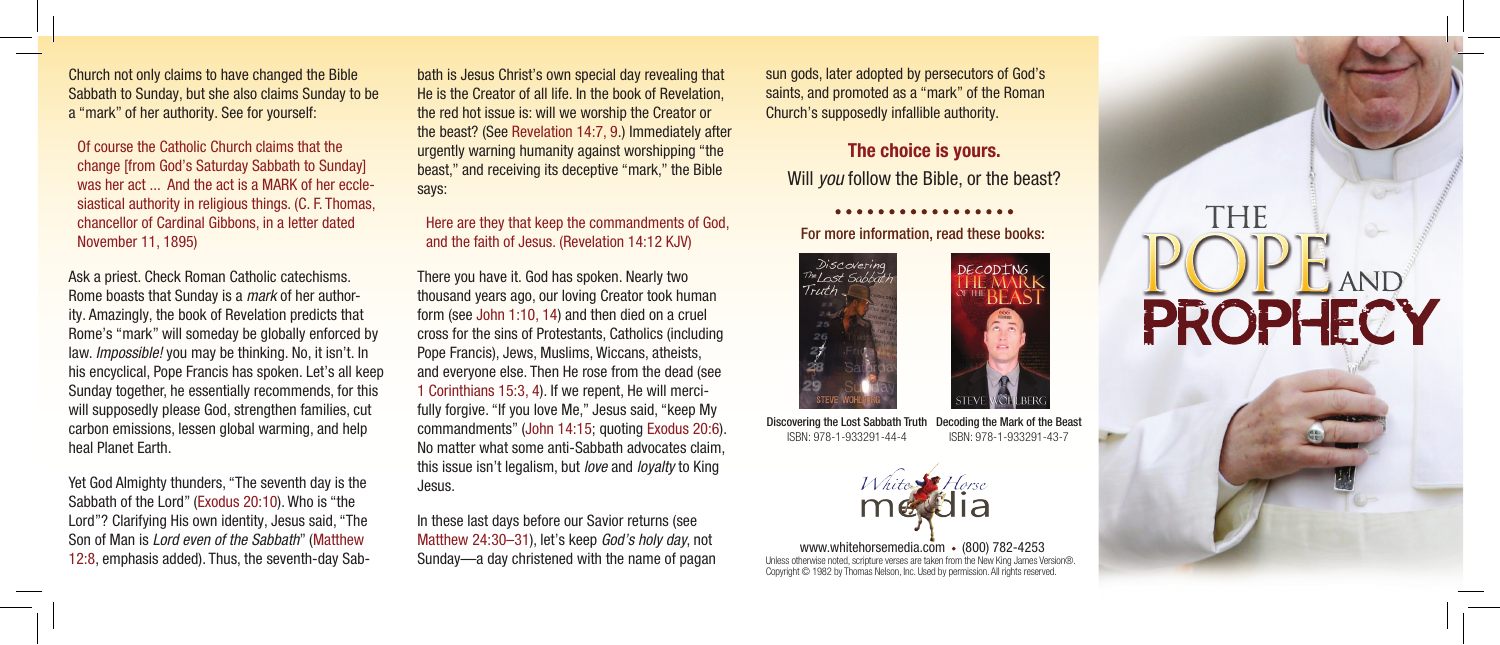Church not only claims to have changed the Bible Sabbath to Sunday, but she also claims Sunday to be a "mark" of her authority. See for yourself:

Of course the Catholic Church claims that the change [from God's Saturday Sabbath to Sunday] was her act ... And the act is a MARK of her ecclesiastical authority in religious things. (C. F. Thomas, chancellor of Cardinal Gibbons, in a letter dated November 11, 1895)

Ask a priest. Check Roman Catholic catechisms. Rome boasts that Sunday is a *mark* of her authority. Amazingly, the book of Revelation predicts that Rome's "mark" will someday be globally enforced by law. *Impossible!* you may be thinking. No, it isn't. In his encyclical, Pope Francis has spoken. Let's all keep Sunday together, he essentially recommends, for this will supposedly please God, strengthen families, cut carbon emissions, lessen global warming, and help heal Planet Earth.

Yet God Almighty thunders, "The seventh day is the Sabbath of the Lord" (Exodus 20:10). Who is "the Lord"? Clarifying His own identity, Jesus said, "The Son of Man is *Lord even of the Sabbath*" (Matthew 12:8, emphasis added). Thus, the seventh-day Sab-

bath is Jesus Christ's own special day revealing that He is the Creator of all life. In the book of Revelation, the red hot issue is: will we worship the Creator or the beast? (See Revelation 14:7, 9.) Immediately after urgently warning humanity against worshipping "the beast," and receiving its deceptive "mark," the Bible says:

## Here are they that keep the commandments of God, and the faith of Jesus. (Revelation 14:12 KJV)

There you have it. God has spoken. Nearly two thousand years ago, our loving Creator took human form (see John 1:10, 14) and then died on a cruel cross for the sins of Protestants, Catholics (including Pope Francis), Jews, Muslims, Wiccans, atheists, and everyone else. Then He rose from the dead (see 1 Corinthians 15:3, 4). If we repent, He will mercifully forgive. "If you love Me," Jesus said, "keep My commandments" (John 14:15; quoting Exodus 20:6). No matter what some anti-Sabbath advocates claim, this issue isn't legalism, but *love* and *loyalty* to King Jesus.

In these last days before our Savior returns (see Matthew 24:30–31), let's keep *God's holy day*, not Sunday—a day christened with the name of pagan sun gods, later adopted by persecutors of God's saints, and promoted as a "mark" of the Roman Church's supposedly infallible authority.

# The choice is yours.

Will *you* follow the Bible, or the beast?

. . . . . . . . . . . . .

# For more information, read these books:



Discovering the Lost Sabbath Truth ISBN: 978-1-933291-44-4 Decoding the Mark of the Beast ISBN: 978-1-933291-43-7



Unless otherwise noted, scripture verses are taken from the New King James Version®. Copyright © 1982 by Thomas Nelson, Inc. Used by permission. All rights reserved. www.whitehorsemedia.com • (800) 782-4253

# THE PROPHECY